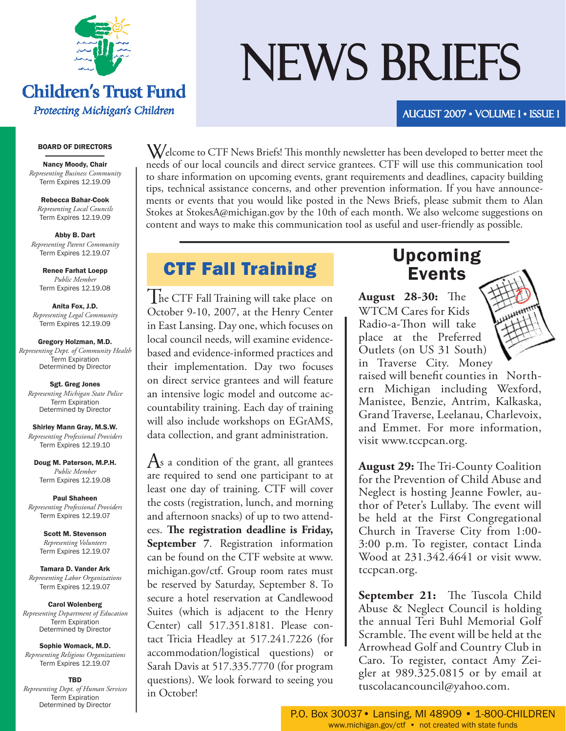

## **Children's Trust Fund** Protecting Michigan's Children

#### BOARD OF DIRECTORS

Nancy Moody, Chair *Representing Business Community* Term Expires 12.19.09

Rebecca Bahar-Cook *Representing Local Councils* Term Expires 12.19.09

Abby B. Dart *Representing Parent Community* Term Expires 12.19.07

Renee Farhat Loepp *Public Member* Term Expires 12.19.08

Anita Fox, J.D. *Representing Legal Community* Term Expires 12.19.09

Gregory Holzman, M.D. *Representing Dept. of Community Health* Term Expiration Determined by Director

Sgt. Greg Jones *Representing Michigan State Police* Term Expiration Determined by Director

Shirley Mann Gray, M.S.W. *Representing Representing Professional Providers Providers* Term Expires 12.19.10

Doug M. Paterson, M.P.H. *Public Member* Term Expires 12.19.08

Paul Shaheen *Representing Professional Providers* Term Expires 12.19.07

> Scott M. Stevenson *Representing Volunteers* Term Expires 12.19.07

Tamara D. Vander Ark *Representing Labor Organizations* Term Expires 12.19.07

Carol Wolenberg *Representing Department of Education Education* Term Expiration Determined by Director

Sophie Womack, M.D. *Representing Religious Organizations* Term Expires 12.19.07

TBD

*Representing Dept. of Human Services* Term Expiration Determined by Director

# NEWS BRIEFS

AUGUST 2007 • Volume 1 • Issue 1

 $W$ elcome to CTF News Briefs! This monthly newsletter has been developed to better meet the needs of our local councils and direct service grantees. CTF will use this communication tool to share information on upcoming events, grant requirements and deadlines, capacity building tips, technical assistance concerns, and other prevention information. If you have announcements or events that you would like posted in the News Briefs, please submit them to Alan Stokes at StokesA@michigan.gov by the 10th of each month. We also welcome suggestions on content and ways to make this communication tool as useful and user-friendly as possible.

# CTF Fall Training Upcoming

 $\int$  he CTF Fall Training will take place on October 9-10, 2007, at the Henry Center in East Lansing. Day one, which focuses on local council needs, will examine evidencebased and evidence-informed practices and their implementation. Day two focuses on direct service grantees and will feature an intensive logic model and outcome accountability training. Each day of training will also include workshops on EGrAMS, data collection, and grant administration.

 $\overline{A}$ s a condition of the grant, all grantees are required to send one participant to at least one day of training. CTF will cover the costs (registration, lunch, and morning and afternoon snacks) of up to two attendees. The registration deadline is Friday, **September 7**. Registration information can be found on the CTF website at www. michigan.gov/ctf. Group room rates must be reserved by Saturday, September 8. To secure a hotel reservation at Candlewood Suites (which is adjacent to the Henry Center) call 517.351.8181. Please contact Tricia Headley at 517.241.7226 (for accommodation/logistical questions) or Sarah Davis at 517.335.7770 (for program questions). We look forward to seeing you in October!

# Events

**August 28-30:** The WTCM Cares for Kids Radio-a-Thon will take place at the Preferred Outlets (on US 31 South) in Traverse City. Money

raised will benefit counties in Northern Michigan including Wexford, Manistee, Benzie, Antrim, Kalkaska, Grand Traverse, Leelanau, Charlevoix, and Emmet. For more information, visit www.tccpcan.org.

**August 29:** The Tri-County Coalition for the Prevention of Child Abuse and Neglect is hosting Jeanne Fowler, author of Peter's Lullaby. The event will be held at the First Congregational Church in Traverse City from 1:00- 3:00 p.m. To register, contact Linda Wood at 231.342.4641 or visit www. tccpcan.org.

**September 21:** The Tuscola Child Abuse & Neglect Council is holding the annual Teri Buhl Memorial Golf Scramble. The event will be held at the Arrowhead Golf and Country Club in Caro. To register, contact Amy Zeigler at 989.325.0815 or by email at tuscolacancouncil@yahoo.com.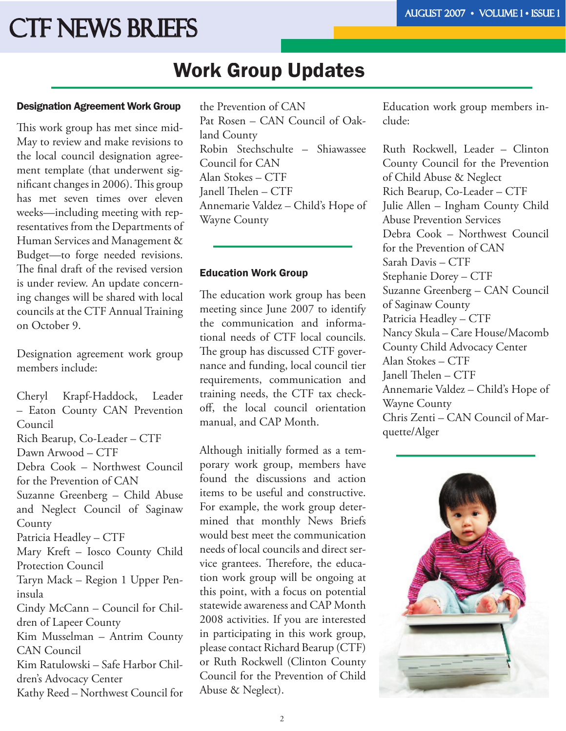# CTF News Briefs

# Work Group Updates

#### Designation Agreement Work Group

This work group has met since mid-May to review and make revisions to the local council designation agreement template (that underwent significant changes in 2006). This group has met seven times over eleven weeks—including meeting with representatives from the Departments of Human Services and Management & Budget—to forge needed revisions. The final draft of the revised version is under review. An update concerning changes will be shared with local councils at the CTF Annual Training on October 9.

Designation agreement work group members include:

Cheryl Krapf-Haddock, Leader – Eaton County CAN Prevention Council Rich Bearup, Co-Leader – CTF Dawn Arwood – CTF Debra Cook – Northwest Council for the Prevention of CAN Suzanne Greenberg – Child Abuse and Neglect Council of Saginaw County Patricia Headley – CTF Mary Kreft – Iosco County Child Protection Council Taryn Mack – Region 1 Upper Peninsula Cindy McCann – Council for Children of Lapeer County Kim Musselman – Antrim County CAN Council Kim Ratulowski – Safe Harbor Children's Advocacy Center Kathy Reed – Northwest Council for

the Prevention of CAN Pat Rosen – CAN Council of Oakland County Robin Stechschulte – Shiawassee Council for CAN Alan Stokes – CTF Janell Thelen - CTF Annemarie Valdez – Child's Hope of Wayne County

#### Education Work Group

The education work group has been meeting since June 2007 to identify the communication and informational needs of CTF local councils. The group has discussed CTF governance and funding, local council tier requirements, communication and training needs, the CTF tax checkoff, the local council orientation manual, and CAP Month.

Although initially formed as a temporary work group, members have found the discussions and action items to be useful and constructive. For example, the work group determined that monthly News Briefs would best meet the communication needs of local councils and direct service grantees. Therefore, the education work group will be ongoing at this point, with a focus on potential statewide awareness and CAP Month 2008 activities. If you are interested in participating in this work group, please contact Richard Bearup (CTF) or Ruth Rockwell (Clinton County Council for the Prevention of Child Abuse & Neglect).

Education work group members include:

Ruth Rockwell, Leader – Clinton County Council for the Prevention of Child Abuse & Neglect Rich Bearup, Co-Leader – CTF Julie Allen – Ingham County Child Abuse Prevention Services Debra Cook – Northwest Council for the Prevention of CAN Sarah Davis – CTF Stephanie Dorey – CTF Suzanne Greenberg – CAN Council of Saginaw County Patricia Headley – CTF Nancy Skula – Care House/Macomb County Child Advocacy Center Alan Stokes – CTF Janell Thelen - CTF Annemarie Valdez – Child's Hope of Wayne County Chris Zenti – CAN Council of Marquette/Alger

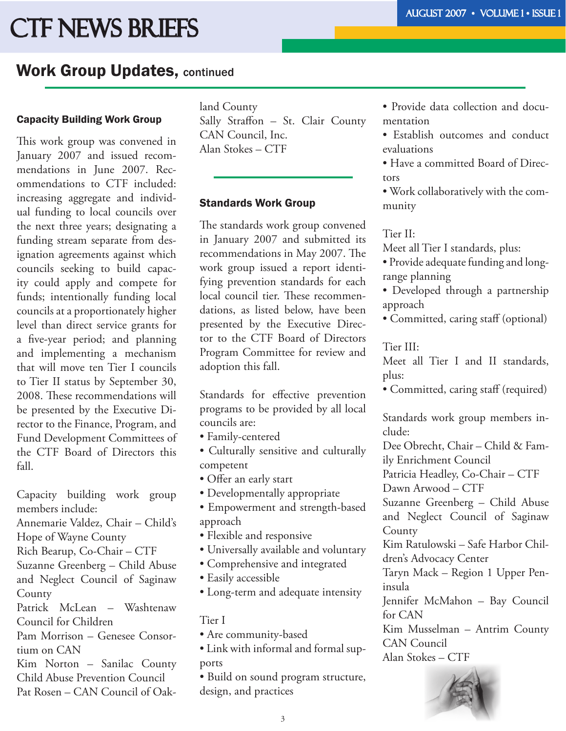# CTF News Briefs

# Work Group Updates, continued

### Capacity Building Work Group

This work group was convened in January 2007 and issued recommendations in June 2007. Recommendations to CTF included: increasing aggregate and individual funding to local councils over the next three years; designating a funding stream separate from designation agreements against which councils seeking to build capacity could apply and compete for funds; intentionally funding local councils at a proportionately higher level than direct service grants for a five-year period; and planning and implementing a mechanism that will move ten Tier I councils to Tier II status by September 30, 2008. These recommendations will be presented by the Executive Director to the Finance, Program, and Fund Development Committees of the CTF Board of Directors this fall.

Capacity building work group members include:

Annemarie Valdez, Chair – Child's

Hope of Wayne County

Rich Bearup, Co-Chair – CTF

Suzanne Greenberg – Child Abuse and Neglect Council of Saginaw County

Patrick McLean – Washtenaw Council for Children

Pam Morrison – Genesee Consortium on CAN

Kim Norton – Sanilac County Child Abuse Prevention Council Pat Rosen – CAN Council of Oakland County Sally Straffon - St. Clair County CAN Council, Inc. Alan Stokes – CTF

### Standards Work Group

The standards work group convened in January 2007 and submitted its recommendations in May 2007. The work group issued a report identifying prevention standards for each local council tier. These recommendations, as listed below, have been presented by the Executive Director to the CTF Board of Directors Program Committee for review and adoption this fall.

Standards for effective prevention programs to be provided by all local councils are:

- Family-centered
- Culturally sensitive and culturally competent
- Offer an early start
- Developmentally appropriate
- Empowerment and strength-based approach
- Flexible and responsive
- Universally available and voluntary
- Comprehensive and integrated
- Easily accessible
- Long-term and adequate intensity

Tier I

- Are community-based
- Link with informal and formal supports

• Build on sound program structure, design, and practices

- Provide data collection and documentation
- Establish outcomes and conduct evaluations
- Have a committed Board of Directors

• Work collaboratively with the community

#### Tier II:

Meet all Tier I standards, plus:

- Provide adequate funding and longrange planning
- Developed through a partnership approach
- Committed, caring staff (optional)

### Tier III:

Meet all Tier I and II standards, plus:

• Committed, caring staff (required)

Standards work group members include:

Dee Obrecht, Chair – Child & Fam-

ily Enrichment Council

Patricia Headley, Co-Chair – CTF

Dawn Arwood – CTF

Suzanne Greenberg – Child Abuse and Neglect Council of Saginaw **County** 

Kim Ratulowski – Safe Harbor Children's Advocacy Center

Taryn Mack – Region 1 Upper Peninsula

Jennifer McMahon – Bay Council for CAN

Kim Musselman – Antrim County CAN Council Alan Stokes – CTF